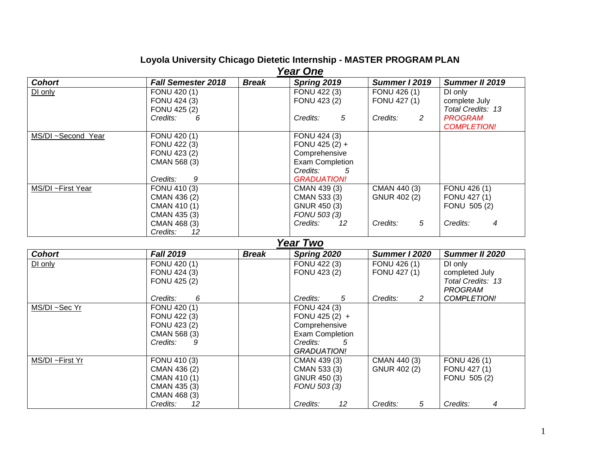#### **Loyola University Chicago Dietetic Internship - MASTER PROGRAM PLAN**  *Year One*

| ran vile           |                           |              |                        |               |                    |
|--------------------|---------------------------|--------------|------------------------|---------------|--------------------|
| <b>Cohort</b>      | <b>Fall Semester 2018</b> | <b>Break</b> | Spring 2019            | Summer I 2019 | Summer II 2019     |
| DI only            | FONU 420 (1)              |              | FONU 422 (3)           | FONU 426 (1)  | DI only            |
|                    | FONU 424 (3)              |              | FONU 423 (2)           | FONU 427 (1)  | complete July      |
|                    | FONU 425 (2)              |              |                        |               | Total Credits: 13  |
|                    | Credits:<br>6             |              | 5<br>Credits:          | Credits:<br>2 | <b>PROGRAM</b>     |
|                    |                           |              |                        |               | <b>COMPLETION!</b> |
| MS/DI ~Second Year | FONU 420 (1)              |              | FONU 424 (3)           |               |                    |
|                    | FONU 422 (3)              |              | FONU 425 $(2) +$       |               |                    |
|                    | FONU 423 (2)              |              | Comprehensive          |               |                    |
|                    | CMAN 568 (3)              |              | <b>Exam Completion</b> |               |                    |
|                    |                           |              | Credits:<br>5          |               |                    |
|                    | 9<br>Credits:             |              | <b>GRADUATION!</b>     |               |                    |
| MS/DI ~First Year  | FONU 410 (3)              |              | CMAN 439 (3)           | CMAN 440 (3)  | FONU 426 (1)       |
|                    | CMAN 436 (2)              |              | CMAN 533 (3)           | GNUR 402 (2)  | FONU 427 (1)       |
|                    | CMAN 410 (1)              |              | GNUR 450 (3)           |               | FONU 505 (2)       |
|                    | CMAN 435 (3)              |              | FONU 503 (3)           |               |                    |
|                    | CMAN 468 (3)              |              | Credits:<br>12         | 5<br>Credits: | Credits:<br>4      |
|                    | 12<br>Credits:            |              |                        |               |                    |

# *Year Two*

| <b>Cohort</b>   | <b>Fall 2019</b> | <b>Break</b> | Spring 2020            | Summer I 2020 | Summer II 2020     |
|-----------------|------------------|--------------|------------------------|---------------|--------------------|
| DI only         | FONU 420 (1)     |              | FONU 422 (3)           | FONU 426 (1)  | DI only            |
|                 | FONU 424 (3)     |              | FONU 423 (2)           | FONU 427 (1)  | completed July     |
|                 | FONU 425 (2)     |              |                        |               | Total Credits: 13  |
|                 |                  |              |                        |               | PROGRAM            |
|                 | 6<br>Credits:    |              | 5<br>Credits:          | 2<br>Credits: | <b>COMPLETION!</b> |
| MS/DI ~Sec Yr   | FONU 420 (1)     |              | FONU 424 (3)           |               |                    |
|                 | FONU 422 (3)     |              | FONU 425 $(2) +$       |               |                    |
|                 | FONU 423 (2)     |              | Comprehensive          |               |                    |
|                 | CMAN 568 (3)     |              | <b>Exam Completion</b> |               |                    |
|                 | Credits:<br>-9   |              | Credits:<br>-5         |               |                    |
|                 |                  |              | <b>GRADUATION!</b>     |               |                    |
| MS/DI ~First Yr | FONU 410 (3)     |              | CMAN 439 (3)           | CMAN 440 (3)  | FONU 426 (1)       |
|                 | CMAN 436 (2)     |              | CMAN 533 (3)           | GNUR 402 (2)  | FONU 427 (1)       |
|                 | CMAN 410 (1)     |              | GNUR 450 (3)           |               | FONU 505 (2)       |
|                 | CMAN 435 (3)     |              | FONU 503 (3)           |               |                    |
|                 | CMAN 468 (3)     |              |                        |               |                    |
|                 | Credits:<br>12   |              | 12<br>Credits:         | 5<br>Credits: | Credits:<br>4      |